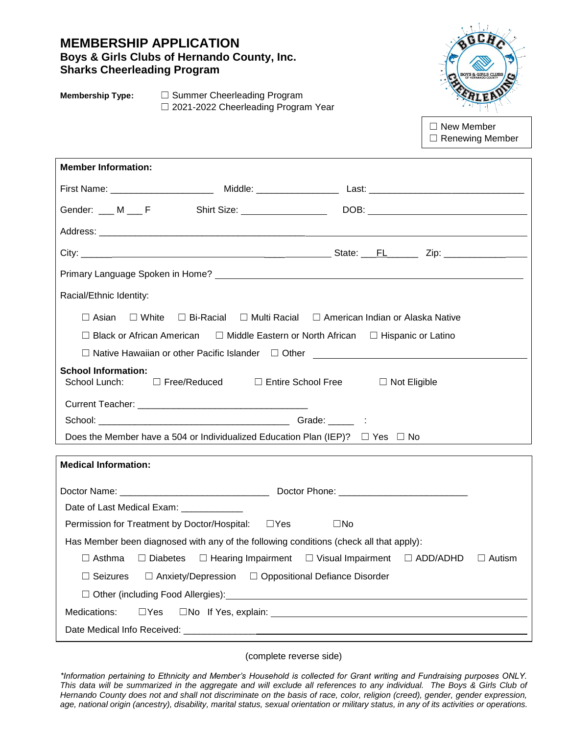| <b>MEMBERSHIP APPLICATION</b><br>Boys & Girls Clubs of Hernando County, Inc.<br><b>Sharks Cheerleading Program</b> |                                                                    | <b>BOYS &amp; GIRLS CLUBS</b>               |
|--------------------------------------------------------------------------------------------------------------------|--------------------------------------------------------------------|---------------------------------------------|
| <b>Membership Type:</b><br>$\Box$ Summer Cheerleading Program<br>$\Box$ 2021-2022 Cheerleading Program Year        |                                                                    |                                             |
|                                                                                                                    |                                                                    | $\Box$ New Member<br>$\Box$ Renewing Member |
| <b>Member Information:</b>                                                                                         |                                                                    |                                             |
|                                                                                                                    |                                                                    |                                             |
|                                                                                                                    |                                                                    |                                             |
|                                                                                                                    |                                                                    |                                             |
|                                                                                                                    |                                                                    |                                             |
|                                                                                                                    |                                                                    |                                             |
| Racial/Ethnic Identity:                                                                                            |                                                                    |                                             |
| $\Box$ Asian $\Box$ White $\Box$ Bi-Racial $\Box$ Multi Racial $\Box$ American Indian or Alaska Native             |                                                                    |                                             |
| □ Black or African American □ Middle Eastern or North African □ Hispanic or Latino                                 |                                                                    |                                             |
|                                                                                                                    |                                                                    |                                             |
| <b>School Information:</b><br>School Lunch: □ Free/Reduced □ Entire School Free □ Not Eligible                     |                                                                    |                                             |
|                                                                                                                    |                                                                    |                                             |
|                                                                                                                    |                                                                    |                                             |
| Does the Member have a 504 or Individualized Education Plan (IEP)? $\Box$ Yes $\Box$ No                            |                                                                    |                                             |
| <b>Medical Information:</b>                                                                                        |                                                                    |                                             |
|                                                                                                                    |                                                                    |                                             |
| Date of Last Medical Exam: ____________                                                                            |                                                                    |                                             |
| Permission for Treatment by Doctor/Hospital:                                                                       | $\square$ Yes<br>$\square$ No                                      |                                             |
| Has Member been diagnosed with any of the following conditions (check all that apply):                             |                                                                    |                                             |
| $\Box$ Asthma<br>$\Box$ Diabetes                                                                                   | $\Box$ Hearing Impairment $\Box$ Visual Impairment $\Box$ ADD/ADHD | $\Box$ Autism                               |
| □ Anxiety/Depression □ Oppositional Defiance Disorder<br>$\Box$ Seizures                                           |                                                                    |                                             |
|                                                                                                                    |                                                                    |                                             |
| Medications:<br>$\Box$ Yes                                                                                         |                                                                    |                                             |
|                                                                                                                    |                                                                    |                                             |

(complete reverse side)

*\*Information pertaining to Ethnicity and Member's Household is collected for Grant writing and Fundraising purposes ONLY. This data will be summarized in the aggregate and will exclude all references to any individual. The Boys & Girls Club of Hernando County does not and shall not discriminate on the basis of race, color, religion (creed), gender, gender expression, age, national origin (ancestry), disability, marital status, sexual orientation or military status, in any of its activities or operations.*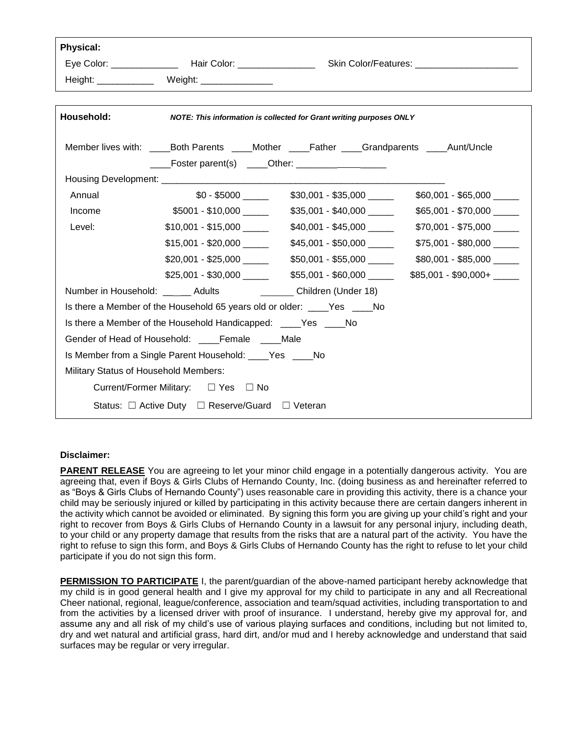| <b>Physical:</b> |                                                                            |                                                                                                    |                            |
|------------------|----------------------------------------------------------------------------|----------------------------------------------------------------------------------------------------|----------------------------|
|                  |                                                                            |                                                                                                    |                            |
|                  | Height: _____________ Weight: _______________                              |                                                                                                    |                            |
|                  |                                                                            |                                                                                                    |                            |
| Household:       |                                                                            | NOTE: This information is collected for Grant writing purposes ONLY                                |                            |
|                  |                                                                            |                                                                                                    |                            |
|                  |                                                                            | Member lives with: _______Both Parents ______Mother ______Father _____Grandparents _____Aunt/Uncle |                            |
|                  | $\frac{1}{1}$ Foster parent(s) $\frac{1}{1}$ Other: $\frac{1}{1}$          |                                                                                                    |                            |
|                  |                                                                            |                                                                                                    |                            |
| Annual           |                                                                            | $$0 - $5000$ \$30,001 - \$35,000 \[\]                                                              | \$60,001 - \$65,000        |
| Income           |                                                                            | $$5001 - $10,000$ $$35,001 - $40,000$ $$$                                                          | $$65,001 - $70,000$ ______ |
| Level:           | $$10,001 - $15,000$ _______                                                | \$40,001 - \$45,000                                                                                | $$70,001 - $75,000$        |
|                  |                                                                            | $$15,001 - $20,000$ $$45,001 - $50,000$                                                            | $$75,001 - $80,000$        |
|                  | $$20,001 - $25,000$                                                        | \$50,001 - \$55,000                                                                                | \$80,001 - \$85,000        |
|                  | $$25,001 - $30,000$ _______                                                | \$55,001-\$60,000 ______                                                                           | $$85,001 - $90,000+$       |
|                  | Number in Household: ______ Adults ______________ Children (Under 18)      |                                                                                                    |                            |
|                  | Is there a Member of the Household 65 years old or older: _____Yes _____No |                                                                                                    |                            |
|                  | Is there a Member of the Household Handicapped: _____Yes _____No           |                                                                                                    |                            |
|                  | Gender of Head of Household: Female Male                                   |                                                                                                    |                            |
|                  | Is Member from a Single Parent Household: ____Yes ____No                   |                                                                                                    |                            |
|                  | Military Status of Household Members:                                      |                                                                                                    |                            |
|                  | Current/Former Military: □ Yes □ No                                        |                                                                                                    |                            |
|                  | Status: □ Active Duty □ Reserve/Guard □ Veteran                            |                                                                                                    |                            |
|                  |                                                                            |                                                                                                    |                            |

#### **Disclaimer:**

**PARENT RELEASE** You are agreeing to let your minor child engage in a potentially dangerous activity. You are agreeing that, even if Boys & Girls Clubs of Hernando County, Inc. (doing business as and hereinafter referred to as "Boys & Girls Clubs of Hernando County") uses reasonable care in providing this activity, there is a chance your child may be seriously injured or killed by participating in this activity because there are certain dangers inherent in the activity which cannot be avoided or eliminated. By signing this form you are giving up your child's right and your right to recover from Boys & Girls Clubs of Hernando County in a lawsuit for any personal injury, including death, to your child or any property damage that results from the risks that are a natural part of the activity. You have the right to refuse to sign this form, and Boys & Girls Clubs of Hernando County has the right to refuse to let your child participate if you do not sign this form.

**PERMISSION TO PARTICIPATE** I, the parent/guardian of the above-named participant hereby acknowledge that my child is in good general health and I give my approval for my child to participate in any and all Recreational Cheer national, regional, league/conference, association and team/squad activities, including transportation to and from the activities by a licensed driver with proof of insurance. I understand, hereby give my approval for, and assume any and all risk of my child's use of various playing surfaces and conditions, including but not limited to, dry and wet natural and artificial grass, hard dirt, and/or mud and I hereby acknowledge and understand that said surfaces may be regular or very irregular.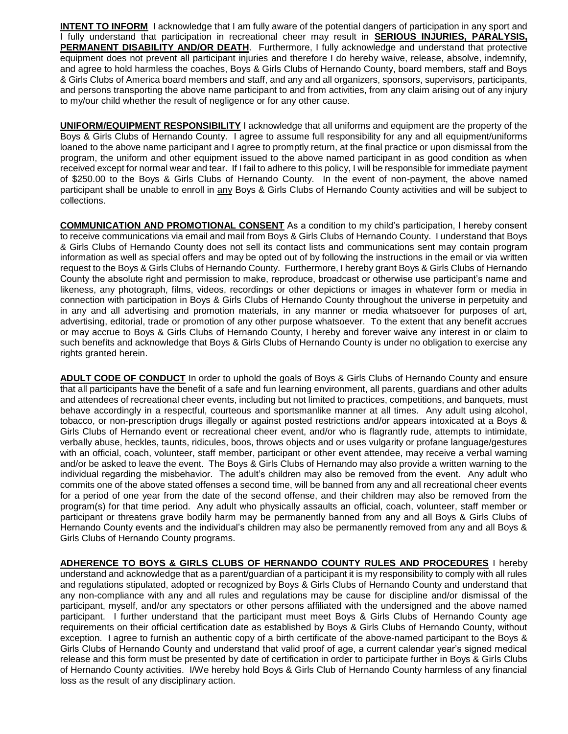**INTENT TO INFORM** I acknowledge that I am fully aware of the potential dangers of participation in any sport and I fully understand that participation in recreational cheer may result in **SERIOUS INJURIES, PARALYSIS, PERMANENT DISABILITY AND/OR DEATH**. Furthermore, I fully acknowledge and understand that protective equipment does not prevent all participant injuries and therefore I do hereby waive, release, absolve, indemnify, and agree to hold harmless the coaches, Boys & Girls Clubs of Hernando County, board members, staff and Boys & Girls Clubs of America board members and staff, and any and all organizers, sponsors, supervisors, participants, and persons transporting the above name participant to and from activities, from any claim arising out of any injury to my/our child whether the result of negligence or for any other cause.

**UNIFORM/EQUIPMENT RESPONSIBILITY** I acknowledge that all uniforms and equipment are the property of the Boys & Girls Clubs of Hernando County. I agree to assume full responsibility for any and all equipment/uniforms loaned to the above name participant and I agree to promptly return, at the final practice or upon dismissal from the program, the uniform and other equipment issued to the above named participant in as good condition as when received except for normal wear and tear. If I fail to adhere to this policy, I will be responsible for immediate payment of \$250.00 to the Boys & Girls Clubs of Hernando County. In the event of non-payment, the above named participant shall be unable to enroll in any Boys & Girls Clubs of Hernando County activities and will be subject to collections.

**COMMUNICATION AND PROMOTIONAL CONSENT** As a condition to my child's participation, I hereby consent to receive communications via email and mail from Boys & Girls Clubs of Hernando County. I understand that Boys & Girls Clubs of Hernando County does not sell its contact lists and communications sent may contain program information as well as special offers and may be opted out of by following the instructions in the email or via written request to the Boys & Girls Clubs of Hernando County. Furthermore, I hereby grant Boys & Girls Clubs of Hernando County the absolute right and permission to make, reproduce, broadcast or otherwise use participant's name and likeness, any photograph, films, videos, recordings or other depictions or images in whatever form or media in connection with participation in Boys & Girls Clubs of Hernando County throughout the universe in perpetuity and in any and all advertising and promotion materials, in any manner or media whatsoever for purposes of art, advertising, editorial, trade or promotion of any other purpose whatsoever. To the extent that any benefit accrues or may accrue to Boys & Girls Clubs of Hernando County, I hereby and forever waive any interest in or claim to such benefits and acknowledge that Boys & Girls Clubs of Hernando County is under no obligation to exercise any rights granted herein.

**ADULT CODE OF CONDUCT** In order to uphold the goals of Boys & Girls Clubs of Hernando County and ensure that all participants have the benefit of a safe and fun learning environment, all parents, guardians and other adults and attendees of recreational cheer events, including but not limited to practices, competitions, and banquets, must behave accordingly in a respectful, courteous and sportsmanlike manner at all times. Any adult using alcohol, tobacco, or non-prescription drugs illegally or against posted restrictions and/or appears intoxicated at a Boys & Girls Clubs of Hernando event or recreational cheer event, and/or who is flagrantly rude, attempts to intimidate, verbally abuse, heckles, taunts, ridicules, boos, throws objects and or uses vulgarity or profane language/gestures with an official, coach, volunteer, staff member, participant or other event attendee, may receive a verbal warning and/or be asked to leave the event. The Boys & Girls Clubs of Hernando may also provide a written warning to the individual regarding the misbehavior. The adult's children may also be removed from the event. Any adult who commits one of the above stated offenses a second time, will be banned from any and all recreational cheer events for a period of one year from the date of the second offense, and their children may also be removed from the program(s) for that time period. Any adult who physically assaults an official, coach, volunteer, staff member or participant or threatens grave bodily harm may be permanently banned from any and all Boys & Girls Clubs of Hernando County events and the individual's children may also be permanently removed from any and all Boys & Girls Clubs of Hernando County programs.

**ADHERENCE TO BOYS & GIRLS CLUBS OF HERNANDO COUNTY RULES AND PROCEDURES** I hereby understand and acknowledge that as a parent/guardian of a participant it is my responsibility to comply with all rules and regulations stipulated, adopted or recognized by Boys & Girls Clubs of Hernando County and understand that any non-compliance with any and all rules and regulations may be cause for discipline and/or dismissal of the participant, myself, and/or any spectators or other persons affiliated with the undersigned and the above named participant. I further understand that the participant must meet Boys & Girls Clubs of Hernando County age requirements on their official certification date as established by Boys & Girls Clubs of Hernando County, without exception. I agree to furnish an authentic copy of a birth certificate of the above-named participant to the Boys & Girls Clubs of Hernando County and understand that valid proof of age, a current calendar year's signed medical release and this form must be presented by date of certification in order to participate further in Boys & Girls Clubs of Hernando County activities. I/We hereby hold Boys & Girls Club of Hernando County harmless of any financial loss as the result of any disciplinary action.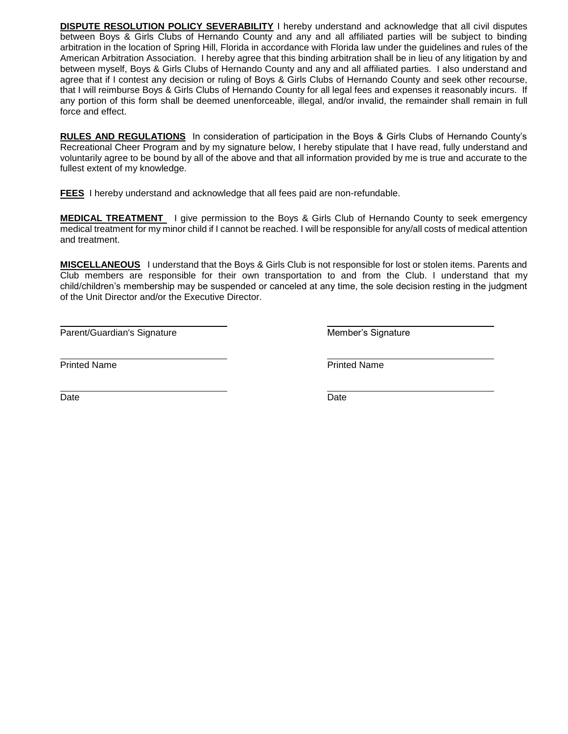**DISPUTE RESOLUTION POLICY SEVERABILITY** I hereby understand and acknowledge that all civil disputes between Boys & Girls Clubs of Hernando County and any and all affiliated parties will be subject to binding arbitration in the location of Spring Hill, Florida in accordance with Florida law under the guidelines and rules of the American Arbitration Association. I hereby agree that this binding arbitration shall be in lieu of any litigation by and between myself, Boys & Girls Clubs of Hernando County and any and all affiliated parties. I also understand and agree that if I contest any decision or ruling of Boys & Girls Clubs of Hernando County and seek other recourse, that I will reimburse Boys & Girls Clubs of Hernando County for all legal fees and expenses it reasonably incurs. If any portion of this form shall be deemed unenforceable, illegal, and/or invalid, the remainder shall remain in full force and effect.

**RULES AND REGULATIONS** In consideration of participation in the Boys & Girls Clubs of Hernando County's Recreational Cheer Program and by my signature below, I hereby stipulate that I have read, fully understand and voluntarily agree to be bound by all of the above and that all information provided by me is true and accurate to the fullest extent of my knowledge.

**FEES** I hereby understand and acknowledge that all fees paid are non-refundable.

**MEDICAL TREATMENT** I give permission to the Boys & Girls Club of Hernando County to seek emergency medical treatment for my minor child if I cannot be reached. I will be responsible for any/all costs of medical attention and treatment.

**MISCELLANEOUS** I understand that the Boys & Girls Club is not responsible for lost or stolen items. Parents and Club members are responsible for their own transportation to and from the Club. I understand that my child/children's membership may be suspended or canceled at any time, the sole decision resting in the judgment of the Unit Director and/or the Executive Director.

Parent/Guardian's Signature **Member's Signature** Member's Signature

Printed Name Printed Name

Date **Date Date Date Date Date Date Date Date Date**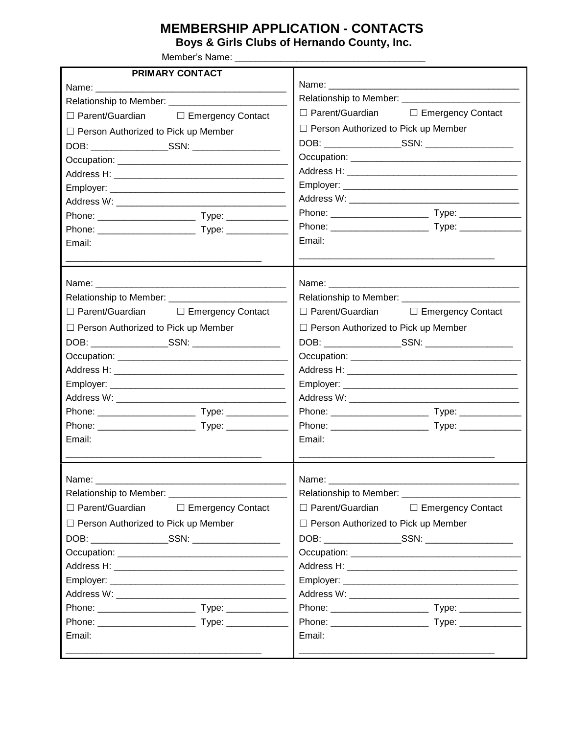# **MEMBERSHIP APPLICATION - CONTACTS**

**Boys & Girls Clubs of Hernando County, Inc.**

Member's Name: \_\_\_\_\_\_\_\_\_\_\_\_\_\_\_\_\_\_\_\_\_\_\_\_\_\_\_\_\_\_\_\_\_\_\_\_\_

| PRIMARY CONTACT                                                                                                                                                                                                               |                                                 |
|-------------------------------------------------------------------------------------------------------------------------------------------------------------------------------------------------------------------------------|-------------------------------------------------|
|                                                                                                                                                                                                                               |                                                 |
|                                                                                                                                                                                                                               |                                                 |
| □ Parent/Guardian □ Emergency Contact                                                                                                                                                                                         | □ Parent/Guardian □ Emergency Contact           |
| □ Person Authorized to Pick up Member                                                                                                                                                                                         | $\Box$ Person Authorized to Pick up Member      |
|                                                                                                                                                                                                                               |                                                 |
|                                                                                                                                                                                                                               |                                                 |
|                                                                                                                                                                                                                               |                                                 |
|                                                                                                                                                                                                                               |                                                 |
|                                                                                                                                                                                                                               |                                                 |
|                                                                                                                                                                                                                               |                                                 |
|                                                                                                                                                                                                                               |                                                 |
| Email:                                                                                                                                                                                                                        | Email:                                          |
| Name: Name: Name: Name: Name: Name: Name: Name: Name: Name: Name: Name: Name: Name: Name: Name: Name: Name: Name: Name: Name: Name: Name: Name: Name: Name: Name: Name: Name: Name: Name: Name: Name: Name: Name: Name: Name: | Name: Name:                                     |
|                                                                                                                                                                                                                               |                                                 |
| □ Parent/Guardian □ Emergency Contact                                                                                                                                                                                         | $\Box$ Parent/Guardian $\Box$ Emergency Contact |
| $\Box$ Person Authorized to Pick up Member                                                                                                                                                                                    | $\Box$ Person Authorized to Pick up Member      |
|                                                                                                                                                                                                                               |                                                 |
|                                                                                                                                                                                                                               |                                                 |
|                                                                                                                                                                                                                               |                                                 |
|                                                                                                                                                                                                                               |                                                 |
|                                                                                                                                                                                                                               |                                                 |
|                                                                                                                                                                                                                               |                                                 |
|                                                                                                                                                                                                                               |                                                 |
| Email:                                                                                                                                                                                                                        | Email:                                          |
| Name:                                                                                                                                                                                                                         | Name:                                           |
|                                                                                                                                                                                                                               |                                                 |
| □ Parent/Guardian<br>□ Emergency Contact                                                                                                                                                                                      | $\Box$ Parent/Guardian $\Box$ Emergency Contact |
| $\Box$ Person Authorized to Pick up Member                                                                                                                                                                                    | □ Person Authorized to Pick up Member           |
|                                                                                                                                                                                                                               |                                                 |
|                                                                                                                                                                                                                               |                                                 |
|                                                                                                                                                                                                                               |                                                 |
|                                                                                                                                                                                                                               |                                                 |
|                                                                                                                                                                                                                               |                                                 |
|                                                                                                                                                                                                                               |                                                 |
|                                                                                                                                                                                                                               |                                                 |
| Email:                                                                                                                                                                                                                        | Email:                                          |
|                                                                                                                                                                                                                               |                                                 |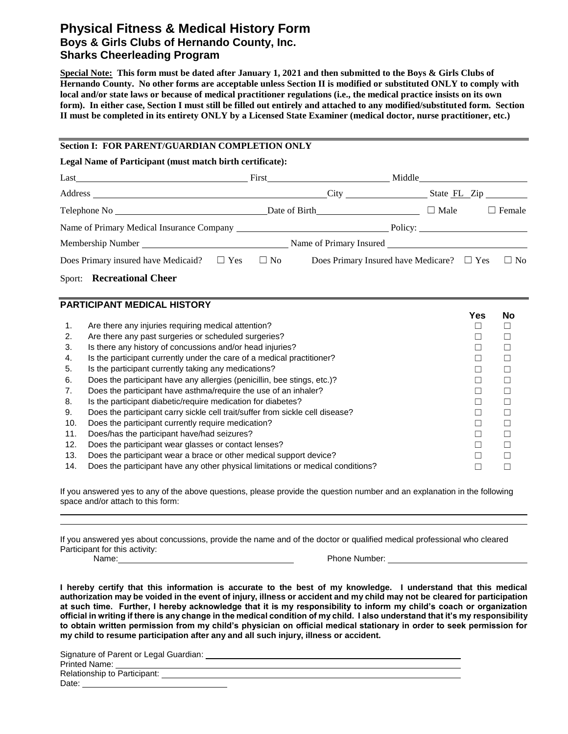## **Physical Fitness & Medical History Form Boys & Girls Clubs of Hernando County, Inc. Sharks Cheerleading Program**

**Special Note: This form must be dated after January 1, 2021 and then submitted to the Boys & Girls Clubs of Hernando County. No other forms are acceptable unless Section II is modified or substituted ONLY to comply with local and/or state laws or because of medical practitioner regulations (i.e., the medical practice insists on its own form). In either case, Section I must still be filled out entirely and attached to any modified/substituted form. Section II must be completed in its entirety ONLY by a Licensed State Examiner (medical doctor, nurse practitioner, etc.)**

#### **Section I: FOR PARENT/GUARDIAN COMPLETION ONLY**

**Legal Name of Participant (must match birth certificate):**

| Last the contract of the contract of the contract of the contract of the contract of the contract of the contract of the contract of the contract of the contract of the contract of the contract of the contract of the contr |                                                          | Middle <b>Middle</b>    |               |
|--------------------------------------------------------------------------------------------------------------------------------------------------------------------------------------------------------------------------------|----------------------------------------------------------|-------------------------|---------------|
|                                                                                                                                                                                                                                | $\frac{City}{1}$                                         |                         | State FL Zip  |
| Telephone No 2000 and 2000 and 2000 and 2000 and 2000 and 2000 and 2000 and 2000 and 2000 and 2000 and 2000 and 2000 and 2000 and 2000 and 2000 and 2000 and 2000 and 2000 and 2000 and 2000 and 2000 and 2000 and 2000 and 20 | Date of Birth <b>Exercise 2</b>                          | $\Box$ Male             | $\Box$ Female |
| Name of Primary Medical Insurance Company Name of Primary Research 1988.                                                                                                                                                       |                                                          | Policy: $\qquad \qquad$ |               |
|                                                                                                                                                                                                                                |                                                          |                         |               |
| Does Primary insured have Medicaid? $\square$ Yes $\square$ No                                                                                                                                                                 | Does Primary Insured have Medicare? $\Box$ Yes $\Box$ No |                         |               |

Sport: **Recreational Cheer**

### **PARTICIPANT MEDICAL HISTORY**

|                                                                                 | 1 es | NO. |
|---------------------------------------------------------------------------------|------|-----|
| Are there any injuries requiring medical attention?                             |      |     |
| Are there any past surgeries or scheduled surgeries?                            |      |     |
| Is there any history of concussions and/or head injuries?                       |      |     |
| Is the participant currently under the care of a medical practitioner?          |      |     |
| Is the participant currently taking any medications?                            |      |     |
| Does the participant have any allergies (penicillin, bee stings, etc.)?         |      |     |
| Does the participant have asthma/require the use of an inhaler?                 |      |     |
| Is the participant diabetic/require medication for diabetes?                    |      |     |
| Does the participant carry sickle cell trait/suffer from sickle cell disease?   |      |     |
| Does the participant currently require medication?                              |      |     |
| Does/has the participant have/had seizures?                                     |      |     |
| Does the participant wear glasses or contact lenses?                            |      |     |
| Does the participant wear a brace or other medical support device?              |      |     |
| Does the participant have any other physical limitations or medical conditions? |      |     |
|                                                                                 |      |     |

If you answered yes to any of the above questions, please provide the question number and an explanation in the following space and/or attach to this form:

If you answered yes about concussions, provide the name and of the doctor or qualified medical professional who cleared Participant for this activity:

Name: 2008. [2016] Name: 2016. [2016] Name: 2016. [2016] Phone Number: 2016. [2016] Phone Number: 2016. [2016] Phone Number: 2016. [2016] Phone Number: 2016. [2016] Phone Number: 2016. [2016] Phone Number: 2016. [2016] Pho

**Yes No**

**I hereby certify that this information is accurate to the best of my knowledge. I understand that this medical authorization may be voided in the event of injury, illness or accident and my child may not be cleared for participation at such time. Further, I hereby acknowledge that it is my responsibility to inform my child's coach or organization official in writing if there is any change in the medical condition of my child. I also understand that it's my responsibility to obtain written permission from my child's physician on official medical stationary in order to seek permission for my child to resume participation after any and all such injury, illness or accident.**

Signature of Parent or Legal Guardian: Printed Name: Relationship to Participant:

Date: